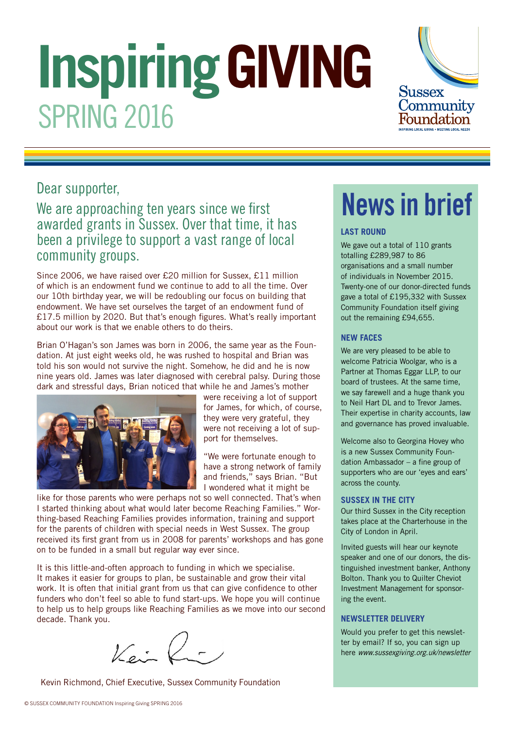# **Inspiring GIVING** SPRING 2016



#### Dear supporter,

#### We are approaching ten years since we first awarded grants in Sussex. Over that time, it has been a privilege to support a vast range of local community groups.

Since 2006, we have raised over £20 million for Sussex, £11 million of which is an endowment fund we continue to add to all the time. Over our 10th birthday year, we will be redoubling our focus on building that endowment. We have set ourselves the target of an endowment fund of £17.5 million by 2020. But that's enough figures. What's really important about our work is that we enable others to do theirs.

Brian O'Hagan's son James was born in 2006, the same year as the Foundation. At just eight weeks old, he was rushed to hospital and Brian was told his son would not survive the night. Somehow, he did and he is now nine years old. James was later diagnosed with cerebral palsy. During those dark and stressful days, Brian noticed that while he and James's mother



were receiving a lot of support for James, for which, of course, they were very grateful, they were not receiving a lot of support for themselves.

"We were fortunate enough to have a strong network of family and friends," says Brian. "But I wondered what it might be

like for those parents who were perhaps not so well connected. That's when I started thinking about what would later become Reaching Families." Worthing-based Reaching Families provides information, training and support for the parents of children with special needs in West Sussex. The group received its first grant from us in 2008 for parents' workshops and has gone on to be funded in a small but regular way ever since.

It is this little-and-often approach to funding in which we specialise. It makes it easier for groups to plan, be sustainable and grow their vital work. It is often that initial grant from us that can give confidence to other funders who don't feel so able to fund start-ups. We hope you will continue to help us to help groups like Reaching Families as we move into our second decade. Thank you.

 $V$ ein K

Kevin Richmond, Chief Executive, Sussex Community Foundation

## News in brief

#### **LAST ROUND**

We gave out a total of 110 grants totalling £289,987 to 86 organisations and a small number of individuals in November 2015. Twenty-one of our donor-directed funds gave a total of £195,332 with Sussex Community Foundation itself giving out the remaining £94,655.

#### **NEW FACES**

We are very pleased to be able to welcome Patricia Woolgar, who is a Partner at Thomas Eggar LLP, to our board of trustees. At the same time, we say farewell and a huge thank you to Neil Hart DL and to Trevor James. Their expertise in charity accounts, law and governance has proved invaluable.

Welcome also to Georgina Hovey who is a new Sussex Community Foundation Ambassador – a fine group of supporters who are our 'eyes and ears' across the county.

#### **SUSSEX IN THE CITY**

Our third Sussex in the City reception takes place at the Charterhouse in the City of London in April.

Invited guests will hear our keynote speaker and one of our donors, the distinguished investment banker, Anthony Bolton. Thank you to Quilter Cheviot Investment Management for sponsoring the event.

#### **NEWSLETTER DELIVERY**

Would you prefer to get this newsletter by email? If so, you can sign up here www.sussexgiving.org.uk/newsletter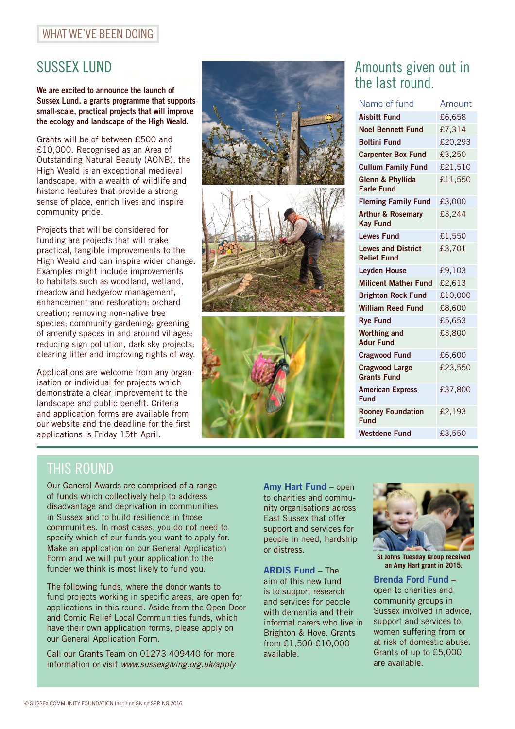#### WHAT WE'VE BEEN DOING

SUSSEX LUND<br>We are excited to announce the launch of Sussex Lund, a grants programme that supports small-scale, practical projects that will improve the ecology and landscape of the High Weald.

Grants will be of between £500 and £10,000. Recognised as an Area of Outstanding Natural Beauty (AONB), the High Weald is an exceptional medieval landscape, with a wealth of wildlife and historic features that provide a strong sense of place, enrich lives and inspire community pride.

Projects that will be considered for funding are projects that will make practical, tangible improvements to the High Weald and can inspire wider change. Examples might include improvements to habitats such as woodland, wetland, meadow and hedgerow management, enhancement and restoration; orchard creation; removing non-native tree species; community gardening; greening of amenity spaces in and around villages; reducing sign pollution, dark sky projects; clearing litter and improving rights of way.

Applications are welcome from any organisation or individual for projects which demonstrate a clear improvement to the landscape and public benefit. Criteria and application forms are available from our website and the deadline for the first applications is Friday 15th April.







#### Amounts given out in the last round.

| Name of fund                                    | Amount  |
|-------------------------------------------------|---------|
| <b>Aisbitt Fund</b>                             | £6,658  |
| <b>Noel Bennett Fund</b>                        | £7,314  |
| <b>Boltini Fund</b>                             | £20,293 |
| <b>Carpenter Box Fund</b>                       | £3,250  |
| <b>Cullum Family Fund</b>                       | £21,510 |
| Glenn & Phyllida<br><b>Farle Fund</b>           | £11,550 |
| <b>Fleming Family Fund</b>                      | £3,000  |
| <b>Arthur &amp; Rosemary</b><br><b>Kay Fund</b> | £3,244  |
| <b>Lewes Fund</b>                               | £1,550  |
| <b>Lewes and District</b><br><b>Relief Fund</b> | £3,701  |
| <b>Leyden House</b>                             | £9,103  |
| <b>Milicent Mather Fund</b>                     | £2,613  |
| <b>Brighton Rock Fund</b>                       | £10,000 |
| <b>William Reed Fund</b>                        | £8,600  |
| <b>Rye Fund</b>                                 | £5,653  |
| <b>Worthing and</b><br><b>Adur Fund</b>         | £3,800  |
| <b>Cragwood Fund</b>                            | £6,600  |
| <b>Cragwood Large</b><br><b>Grants Fund</b>     | £23,550 |
| <b>American Express</b><br>Fund                 | £37,800 |
| <b>Rooney Foundation</b><br>Fund                | £2,193  |
| <b>Westdene Fund</b>                            | £3,550  |

## THIS ROUND

Our General Awards are comprised of a range of funds which collectively help to address disadvantage and deprivation in communities in Sussex and to build resilience in those communities. In most cases, you do not need to specify which of our funds you want to apply for. Make an application on our General Application Form and we will put your application to the funder we think is most likely to fund you.

The following funds, where the donor wants to fund projects working in specific areas, are open for applications in this round. Aside from the Open Door and Comic Relief Local Communities funds, which have their own application forms, please apply on our General Application Form.

Call our Grants Team on 01273 409440 for more information or visit www.sussexgiving.org.uk/apply Amy Hart Fund – open to charities and community organisations across East Sussex that offer support and services for people in need, hardship or distress.

ARDIS Fund – The aim of this new fund is to support research and services for people with dementia and their informal carers who live in Brighton & Hove. Grants from £1,500-£10,000 available.



**St Johns Tuesday Group received an Amy Hart grant in 2015.**

Brenda Ford Fund – open to charities and community groups in Sussex involved in advice, support and services to women suffering from or at risk of domestic abuse. Grants of up to £5,000 are available.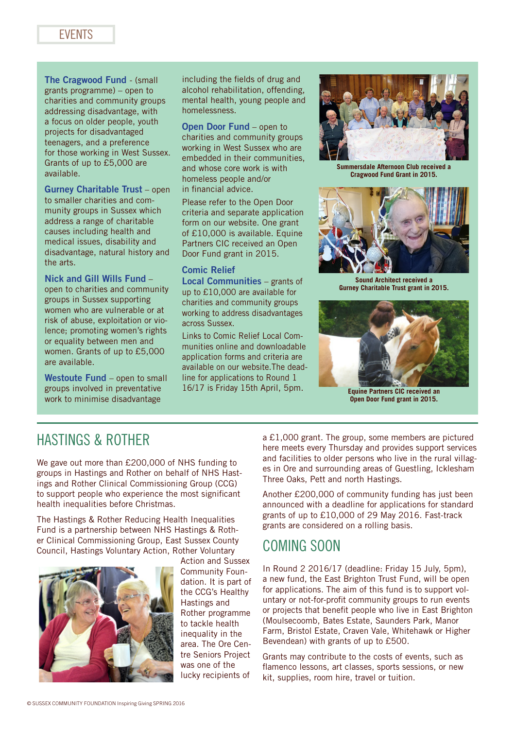The Cragwood Fund - (small grants programme) – open to charities and community groups addressing disadvantage, with a focus on older people, youth projects for disadvantaged teenagers, and a preference for those working in West Sussex. Grants of up to £5,000 are available.

Gurney Charitable Trust – open to smaller charities and community groups in Sussex which address a range of charitable causes including health and medical issues, disability and disadvantage, natural history and the arts.

#### Nick and Gill Wills Fund –

open to charities and community groups in Sussex supporting women who are vulnerable or at risk of abuse, exploitation or violence; promoting women's rights or equality between men and women. Grants of up to £5,000 are available.

Westoute Fund – open to small groups involved in preventative work to minimise disadvantage

including the fields of drug and alcohol rehabilitation, offending, mental health, young people and homelessness.

Open Door Fund – open to charities and community groups working in West Sussex who are embedded in their communities and whose core work is with homeless people and/or in financial advice.

Please refer to the Open Door criteria and separate application form on our website. One grant of £10,000 is available. Equine Partners CIC received an Open Door Fund grant in 2015.

#### Comic Relief

Local Communities – grants of up to £10,000 are available for charities and community groups working to address disadvantages across Sussex.

Links to Comic Relief Local Communities online and downloadable application forms and criteria are available on our website.The deadline for applications to Round 1 16/17 is Friday 15th April, 5pm.



**Summersdale Afternoon Club received a Cragwood Fund Grant in 2015.**



**Sound Architect received a Gurney Charitable Trust grant in 2015.**



**Equine Partners CIC received an Open Door Fund grant in 2015.**

#### HASTINGS & ROTHER

We gave out more than £200,000 of NHS funding to groups in Hastings and Rother on behalf of NHS Hastings and Rother Clinical Commissioning Group (CCG) to support people who experience the most significant health inequalities before Christmas.

The Hastings & Rother Reducing Health Inequalities Fund is a partnership between NHS Hastings & Rother Clinical Commissioning Group, East Sussex County Council, Hastings Voluntary Action, Rother Voluntary



Action and Sussex Community Foundation. It is part of the CCG's Healthy Hastings and Rother programme to tackle health inequality in the area. The Ore Centre Seniors Project was one of the lucky recipients of

a £1,000 grant. The group, some members are pictured here meets every Thursday and provides support services and facilities to older persons who live in the rural villages in Ore and surrounding areas of Guestling, Icklesham Three Oaks, Pett and north Hastings.

Another £200,000 of community funding has just been announced with a deadline for applications for standard grants of up to £10,000 of 29 May 2016. Fast-track grants are considered on a rolling basis.

#### COMING SOON

In Round 2 2016/17 (deadline: Friday 15 July, 5pm), a new fund, the East Brighton Trust Fund, will be open for applications. The aim of this fund is to support voluntary or not-for-profit community groups to run events or projects that benefit people who live in East Brighton (Moulsecoomb, Bates Estate, Saunders Park, Manor Farm, Bristol Estate, Craven Vale, Whitehawk or Higher Bevendean) with grants of up to £500.

Grants may contribute to the costs of events, such as flamenco lessons, art classes, sports sessions, or new kit, supplies, room hire, travel or tuition.